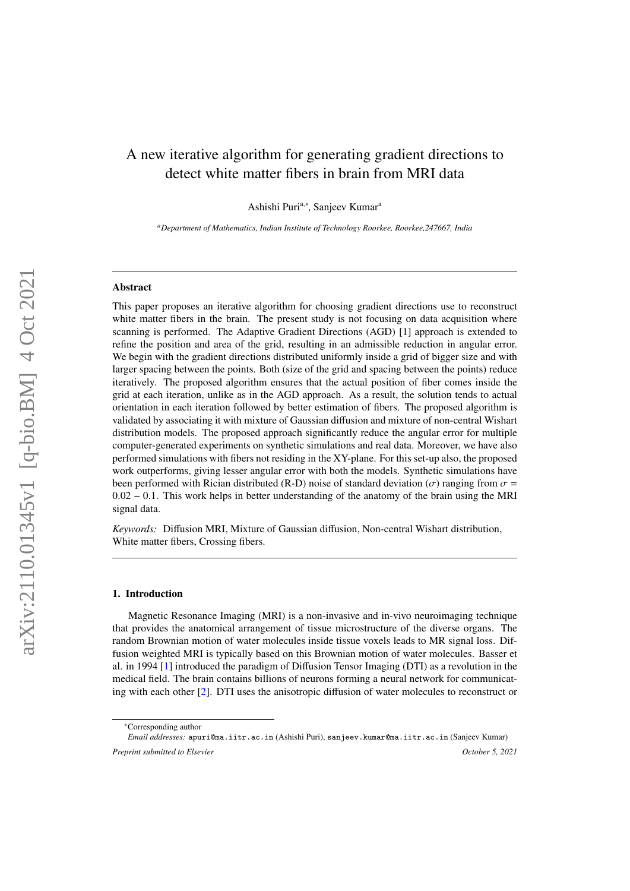# A new iterative algorithm for generating gradient directions to detect white matter fibers in brain from MRI data

Ashishi Puri<sup>a,∗</sup>, Sanjeev Kumar<sup>a</sup>

*<sup>a</sup>Department of Mathematics, Indian Institute of Technology Roorkee, Roorkee,247667, India*

# Abstract

This paper proposes an iterative algorithm for choosing gradient directions use to reconstruct white matter fibers in the brain. The present study is not focusing on data acquisition where scanning is performed. The Adaptive Gradient Directions (AGD) [1] approach is extended to refine the position and area of the grid, resulting in an admissible reduction in angular error. We begin with the gradient directions distributed uniformly inside a grid of bigger size and with larger spacing between the points. Both (size of the grid and spacing between the points) reduce iteratively. The proposed algorithm ensures that the actual position of fiber comes inside the grid at each iteration, unlike as in the AGD approach. As a result, the solution tends to actual orientation in each iteration followed by better estimation of fibers. The proposed algorithm is validated by associating it with mixture of Gaussian diffusion and mixture of non-central Wishart distribution models. The proposed approach significantly reduce the angular error for multiple computer-generated experiments on synthetic simulations and real data. Moreover, we have also performed simulations with fibers not residing in the XY-plane. For this set-up also, the proposed work outperforms, giving lesser angular error with both the models. Synthetic simulations have been performed with Rician distributed (R-D) noise of standard deviation ( $\sigma$ ) ranging from  $\sigma$  = <sup>0</sup>.<sup>02</sup> <sup>−</sup> <sup>0</sup>.1. This work helps in better understanding of the anatomy of the brain using the MRI signal data.

*Keywords:* Diffusion MRI, Mixture of Gaussian diffusion, Non-central Wishart distribution, White matter fibers, Crossing fibers.

#### 1. Introduction

Magnetic Resonance Imaging (MRI) is a non-invasive and in-vivo neuroimaging technique that provides the anatomical arrangement of tissue microstructure of the diverse organs. The random Brownian motion of water molecules inside tissue voxels leads to MR signal loss. Diffusion weighted MRI is typically based on this Brownian motion of water molecules. Basser et al. in 1994 [\[1\]](#page-13-0) introduced the paradigm of Diffusion Tensor Imaging (DTI) as a revolution in the medical field. The brain contains billions of neurons forming a neural network for communicating with each other [\[2\]](#page-14-0). DTI uses the anisotropic diffusion of water molecules to reconstruct or

<sup>∗</sup>Corresponding author

*Email addresses:* apuri@ma.iitr.ac.in (Ashishi Puri), sanjeev.kumar@ma.iitr.ac.in (Sanjeev Kumar) *Preprint submitted to Elsevier October 5, 2021*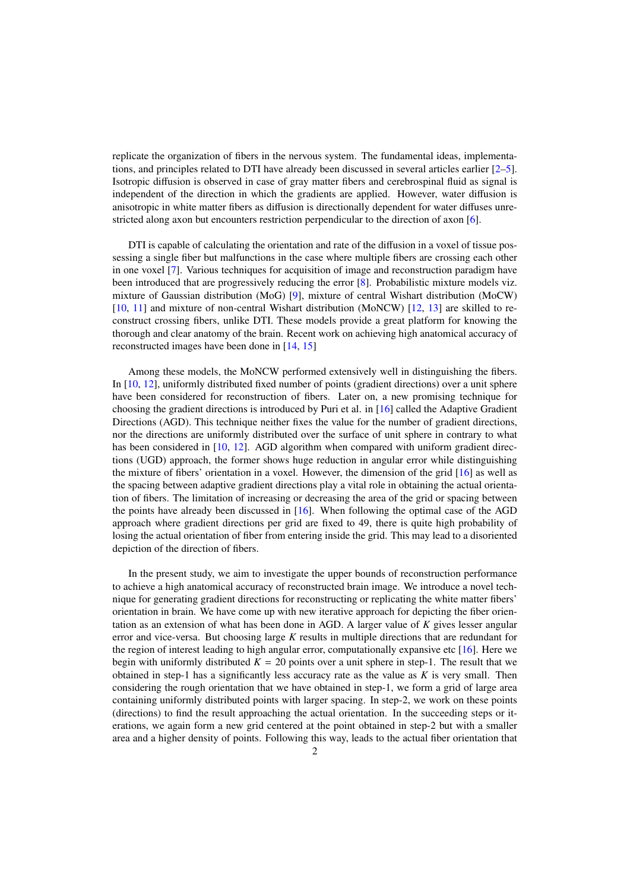replicate the organization of fibers in the nervous system. The fundamental ideas, implementations, and principles related to DTI have already been discussed in several articles earlier [\[2](#page-14-0)[–5\]](#page-14-1). Isotropic diffusion is observed in case of gray matter fibers and cerebrospinal fluid as signal is independent of the direction in which the gradients are applied. However, water diffusion is anisotropic in white matter fibers as diffusion is directionally dependent for water diffuses unrestricted along axon but encounters restriction perpendicular to the direction of axon [\[6\]](#page-14-2).

DTI is capable of calculating the orientation and rate of the diffusion in a voxel of tissue possessing a single fiber but malfunctions in the case where multiple fibers are crossing each other in one voxel [\[7\]](#page-14-3). Various techniques for acquisition of image and reconstruction paradigm have been introduced that are progressively reducing the error [\[8\]](#page-14-4). Probabilistic mixture models viz. mixture of Gaussian distribution (MoG) [\[9\]](#page-14-5), mixture of central Wishart distribution (MoCW) [\[10,](#page-14-6) [11\]](#page-14-7) and mixture of non-central Wishart distribution (MoNCW) [\[12,](#page-14-8) [13\]](#page-14-9) are skilled to reconstruct crossing fibers, unlike DTI. These models provide a great platform for knowing the thorough and clear anatomy of the brain. Recent work on achieving high anatomical accuracy of reconstructed images have been done in [\[14,](#page-14-10) [15\]](#page-14-11)

Among these models, the MoNCW performed extensively well in distinguishing the fibers. In [\[10,](#page-14-6) [12\]](#page-14-8), uniformly distributed fixed number of points (gradient directions) over a unit sphere have been considered for reconstruction of fibers. Later on, a new promising technique for choosing the gradient directions is introduced by Puri et al. in [\[16\]](#page-14-12) called the Adaptive Gradient Directions (AGD). This technique neither fixes the value for the number of gradient directions, nor the directions are uniformly distributed over the surface of unit sphere in contrary to what has been considered in  $[10, 12]$  $[10, 12]$  $[10, 12]$ . AGD algorithm when compared with uniform gradient directions (UGD) approach, the former shows huge reduction in angular error while distinguishing the mixture of fibers' orientation in a voxel. However, the dimension of the grid [\[16\]](#page-14-12) as well as the spacing between adaptive gradient directions play a vital role in obtaining the actual orientation of fibers. The limitation of increasing or decreasing the area of the grid or spacing between the points have already been discussed in [\[16\]](#page-14-12). When following the optimal case of the AGD approach where gradient directions per grid are fixed to 49, there is quite high probability of losing the actual orientation of fiber from entering inside the grid. This may lead to a disoriented depiction of the direction of fibers.

In the present study, we aim to investigate the upper bounds of reconstruction performance to achieve a high anatomical accuracy of reconstructed brain image. We introduce a novel technique for generating gradient directions for reconstructing or replicating the white matter fibers' orientation in brain. We have come up with new iterative approach for depicting the fiber orientation as an extension of what has been done in AGD. A larger value of *K* gives lesser angular error and vice-versa. But choosing large *K* results in multiple directions that are redundant for the region of interest leading to high angular error, computationally expansive etc  $[16]$ . Here we begin with uniformly distributed  $K = 20$  points over a unit sphere in step-1. The result that we obtained in step-1 has a significantly less accuracy rate as the value as *K* is very small. Then considering the rough orientation that we have obtained in step-1, we form a grid of large area containing uniformly distributed points with larger spacing. In step-2, we work on these points (directions) to find the result approaching the actual orientation. In the succeeding steps or iterations, we again form a new grid centered at the point obtained in step-2 but with a smaller area and a higher density of points. Following this way, leads to the actual fiber orientation that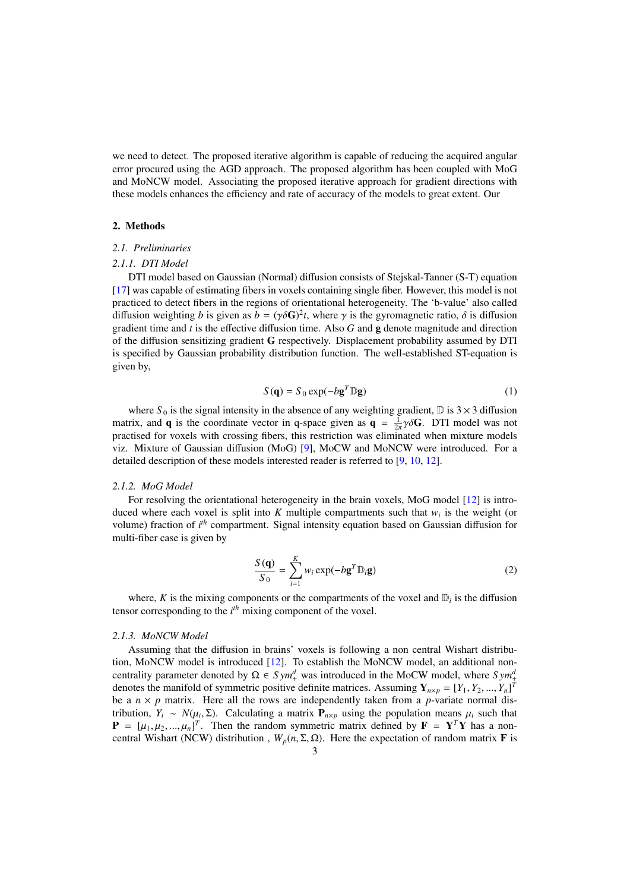we need to detect. The proposed iterative algorithm is capable of reducing the acquired angular error procured using the AGD approach. The proposed algorithm has been coupled with MoG and MoNCW model. Associating the proposed iterative approach for gradient directions with these models enhances the efficiency and rate of accuracy of the models to great extent. Our

# 2. Methods

# *2.1. Preliminaries*

# *2.1.1. DTI Model*

DTI model based on Gaussian (Normal) diffusion consists of Stejskal-Tanner (S-T) equation [\[17\]](#page-14-13) was capable of estimating fibers in voxels containing single fiber. However, this model is not practiced to detect fibers in the regions of orientational heterogeneity. The 'b-value' also called diffusion weighting *b* is given as  $b = (\gamma \delta \mathbf{G})^2 t$ , where  $\gamma$  is the gyromagnetic ratio,  $\delta$  is diffusion gradient time and *t* is the effective diffusion time. Also *G* and **q** denote magnitude and direction gradient time and *t* is the effective diffusion time. Also *G* and g denote magnitude and direction of the diffusion sensitizing gradient G respectively. Displacement probability assumed by DTI is specified by Gaussian probability distribution function. The well-established ST-equation is given by,

$$
S(\mathbf{q}) = S_0 \exp(-b\mathbf{g}^T \mathbb{D}\mathbf{g})
$$
 (1)

where  $S_0$  is the signal intensity in the absence of any weighting gradient,  $D$  is  $3 \times 3$  diffusion matrix, and **q** is the coordinate vector in q-space given as  $\mathbf{q} = \frac{1}{2\pi}\gamma \delta \mathbf{G}$ . DTI model was not matrix, and  $\mathbf{q}$  is the coordinate vector in  $\mathbf{q}$  space given as  $\mathbf{q} = \frac{1}{2\pi}$  for  $\mathbf{r}$ . Bit models was not practised for voxels with crossing fibers, this restriction was eliminated when mixture models viz. Mixture of Gaussian diffusion (MoG) [\[9\]](#page-14-5), MoCW and MoNCW were introduced. For a detailed description of these models interested reader is referred to [\[9,](#page-14-5) [10,](#page-14-6) [12\]](#page-14-8).

# *2.1.2. MoG Model*

For resolving the orientational heterogeneity in the brain voxels, MoG model [\[12\]](#page-14-8) is introduced where each voxel is split into  $K$  multiple compartments such that  $w_i$  is the weight (or volume) fraction of *i th* compartment. Signal intensity equation based on Gaussian diffusion for multi-fiber case is given by

<span id="page-2-0"></span>
$$
\frac{S(\mathbf{q})}{S_0} = \sum_{i=1}^{K} w_i \exp(-b \mathbf{g}^T \mathbb{D}_i \mathbf{g})
$$
 (2)

where, *K* is the mixing components or the compartments of the voxel and  $D_i$  is the diffusion tensor corresponding to the *i th* mixing component of the voxel.

## *2.1.3. MoNCW Model*

Assuming that the diffusion in brains' voxels is following a non central Wishart distribution, MoNCW model is introduced [\[12\]](#page-14-8). To establish the MoNCW model, an additional noncentrality parameter denoted by  $\Omega \in Sym^d$  was introduced in the MoCW model, where  $Sym^d_+$ denotes the manifold of symmetric positive definite matrices. Assuming  $Y_{n\times p} = [Y_1, Y_2, ..., Y_n]^T$ <br>be a  $n \times n$  matrix. Here all the rows are independently taken from a *n*-variate normal disbe a  $n \times p$  matrix. Here all the rows are independently taken from a *p*-variate normal distribution,  $Y_i \sim N(\mu_i, \Sigma)$ . Calculating a matrix  $P_{n \times p}$  using the population means  $\mu_i$  such that  $P_i = \mu_i$ ,  $\mu_i = \mu_i$ , Then the random symmetric matrix defined by  $\mathbf{F} = \mathbf{V}^T \mathbf{V}$  has a non- $\mathbf{P} = [\mu_1, \mu_2, ..., \mu_n]^T$ . Then the random symmetric matrix defined by  $\mathbf{F} = \mathbf{Y}^T \mathbf{Y}$  has a non-<br>central Wishart (NCW) distribution  $W(n, \Sigma, O)$ . Here the expectation of random matrix **F** is central Wishart (NCW) distribution,  $W_p(n, \Sigma, \Omega)$ . Here the expectation of random matrix **F** is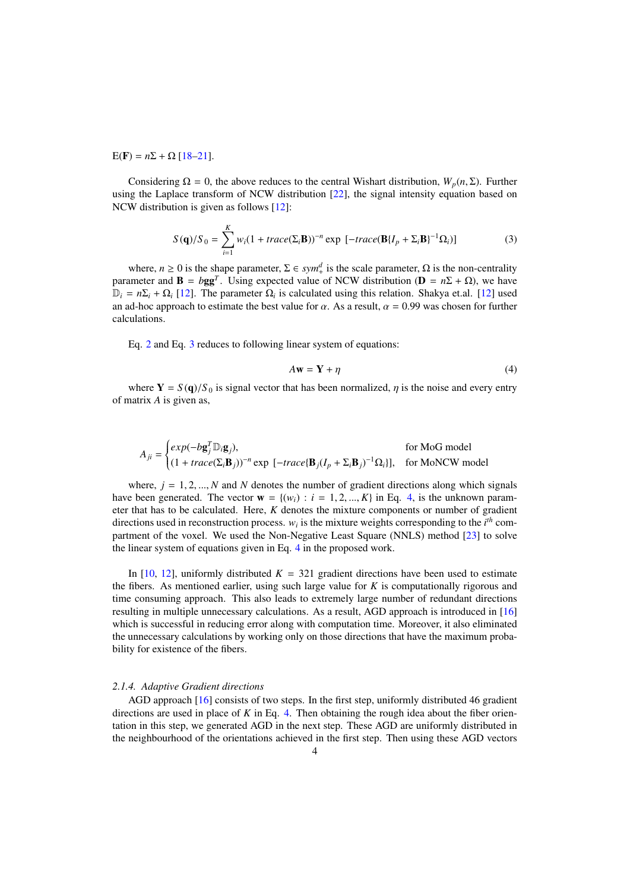E(F) =  $n\Sigma$  +  $\Omega$  [\[18–](#page-14-14)[21\]](#page-14-15).

Considering  $\Omega = 0$ , the above reduces to the central Wishart distribution,  $W_p(n, \Sigma)$ . Further using the Laplace transform of NCW distribution [\[22\]](#page-14-16), the signal intensity equation based on NCW distribution is given as follows [\[12\]](#page-14-8):

<span id="page-3-0"></span>
$$
S(\mathbf{q})/S_0 = \sum_{i=1}^K w_i (1 + trace(\Sigma_i \mathbf{B}))^{-n} \exp \left[ -trace(\mathbf{B}\{I_p + \Sigma_i \mathbf{B}\}^{-1} \Omega_i) \right]
$$
(3)

where,  $n \ge 0$  is the shape parameter,  $\Sigma \in sym_+^d$  is the scale parameter,  $\Omega$  is the non-centrality parameter and **B** =  $b$ **gg**<sup>*T*</sup>. Using expected value of NCW distribution (**D** =  $n\Sigma + Ω$ ), we have  $\mathbb{D}_i = n\Sigma_i + \Omega_i$  [\[12\]](#page-14-8). The parameter  $\Omega_i$  is calculated using this relation. Shakya et.al. [12] used an ad-hoc approach to estimate the best value for  $\alpha$ . As a result,  $\alpha = 0.99$  was chosen for further calculations.

Eq. [2](#page-2-0) and Eq. [3](#page-3-0) reduces to following linear system of equations:

<span id="page-3-1"></span>
$$
A\mathbf{w} = \mathbf{Y} + \eta \tag{4}
$$

where  $Y = S(q)/S_0$  is signal vector that has been normalized,  $\eta$  is the noise and every entry of matrix *A* is given as,

$$
A_{ji} = \begin{cases} exp(-b\mathbf{g}_j^T \mathbb{D}_i \mathbf{g}_j), & \text{for MoG model} \\ (1 + trace(\Sigma_i \mathbf{B}_j))^{-n} \exp[-trace(\mathbf{B}_j(I_p + \Sigma_i \mathbf{B}_j)^{-1} \Omega_i)], & \text{for MoNW model} \end{cases}
$$

where,  $j = 1, 2, ..., N$  and N denotes the number of gradient directions along which signals have been generated. The vector  $\mathbf{w} = \{(w_i) : i = 1, 2, ..., K\}$  in Eq. [4,](#page-3-1) is the unknown parameter that has to be calculated. Here, *K* denotes the mixture components or number of gradient directions used in reconstruction process.  $w_i$  is the mixture weights corresponding to the  $i<sup>th</sup>$  compartment of the voxel. We used the Non-Negative Least Square (NNLS) method [\[23\]](#page-14-17) to solve the linear system of equations given in Eq. [4](#page-3-1) in the proposed work.

In [\[10,](#page-14-6) [12\]](#page-14-8), uniformly distributed  $K = 321$  gradient directions have been used to estimate the fibers. As mentioned earlier, using such large value for *K* is computationally rigorous and time consuming approach. This also leads to extremely large number of redundant directions resulting in multiple unnecessary calculations. As a result, AGD approach is introduced in [\[16\]](#page-14-12) which is successful in reducing error along with computation time. Moreover, it also eliminated the unnecessary calculations by working only on those directions that have the maximum probability for existence of the fibers.

# *2.1.4. Adaptive Gradient directions*

AGD approach [\[16\]](#page-14-12) consists of two steps. In the first step, uniformly distributed 46 gradient directions are used in place of *K* in Eq. [4.](#page-3-1) Then obtaining the rough idea about the fiber orientation in this step, we generated AGD in the next step. These AGD are uniformly distributed in the neighbourhood of the orientations achieved in the first step. Then using these AGD vectors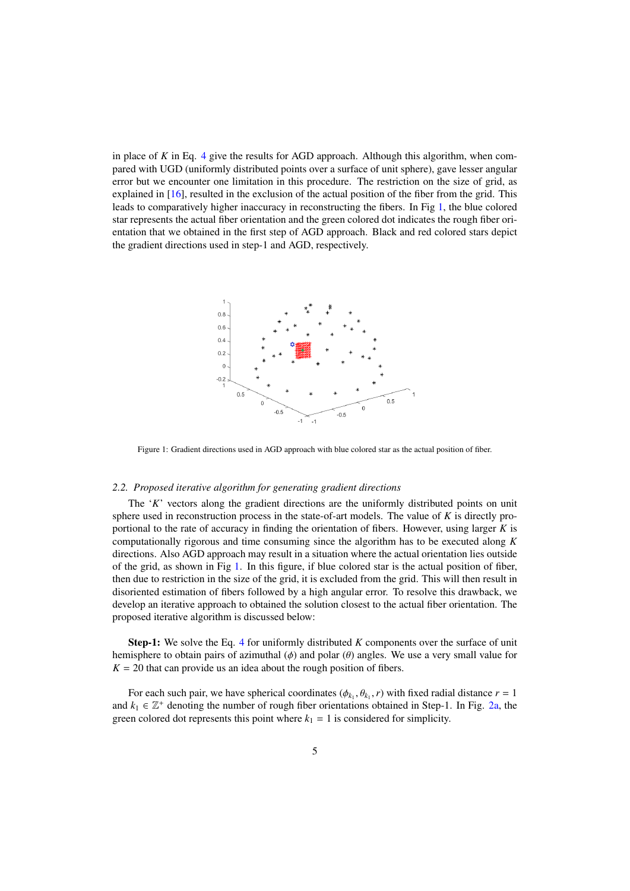in place of *K* in Eq. [4](#page-3-1) give the results for AGD approach. Although this algorithm, when compared with UGD (uniformly distributed points over a surface of unit sphere), gave lesser angular error but we encounter one limitation in this procedure. The restriction on the size of grid, as explained in [\[16\]](#page-14-12), resulted in the exclusion of the actual position of the fiber from the grid. This leads to comparatively higher inaccuracy in reconstructing the fibers. In Fig [1,](#page-4-0) the blue colored star represents the actual fiber orientation and the green colored dot indicates the rough fiber orientation that we obtained in the first step of AGD approach. Black and red colored stars depict the gradient directions used in step-1 and AGD, respectively.

<span id="page-4-0"></span>

Figure 1: Gradient directions used in AGD approach with blue colored star as the actual position of fiber.

## *2.2. Proposed iterative algorithm for generating gradient directions*

The '*K*' vectors along the gradient directions are the uniformly distributed points on unit sphere used in reconstruction process in the state-of-art models. The value of *K* is directly proportional to the rate of accuracy in finding the orientation of fibers. However, using larger *K* is computationally rigorous and time consuming since the algorithm has to be executed along *K* directions. Also AGD approach may result in a situation where the actual orientation lies outside of the grid, as shown in Fig [1.](#page-4-0) In this figure, if blue colored star is the actual position of fiber, then due to restriction in the size of the grid, it is excluded from the grid. This will then result in disoriented estimation of fibers followed by a high angular error. To resolve this drawback, we develop an iterative approach to obtained the solution closest to the actual fiber orientation. The proposed iterative algorithm is discussed below:

Step-1: We solve the Eq. [4](#page-3-1) for uniformly distributed *K* components over the surface of unit hemisphere to obtain pairs of azimuthal  $(\phi)$  and polar  $(\theta)$  angles. We use a very small value for  $K = 20$  that can provide us an idea about the rough position of fibers.

For each such pair, we have spherical coordinates  $(\phi_{k_1}, \theta_{k_1}, r)$  with fixed radial distance  $r = 1$ ,  $k_1 \in \mathbb{Z}^+$  denoting the number of rough fiber orientations obtained in Step 1. In Fig. 2a, the and  $k_1 \in \mathbb{Z}^+$  denoting the number of rough fiber orientations obtained in Step-1. In Fig. [2a,](#page-6-0) the green colored dot represents this point where  $k_1 = 1$  is considered for simplicity.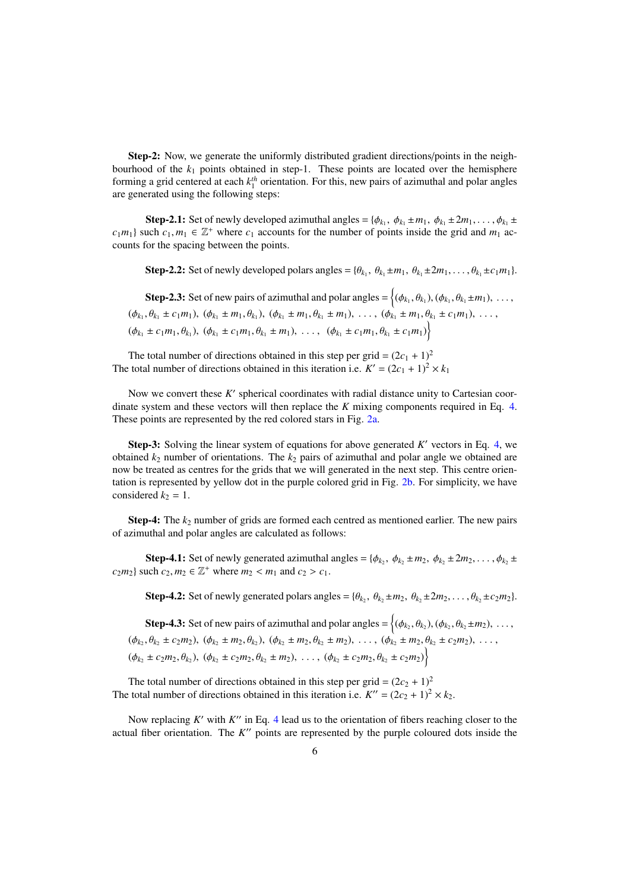Step-2: Now, we generate the uniformly distributed gradient directions/points in the neighbourhood of the  $k_1$  points obtained in step-1. These points are located over the hemisphere forming a grid centered at each  $k_1^{th}$  orientation. For this, new pairs of azimuthal and polar angles are generated using the following steps:

**Step-2.1:** Set of newly developed azimuthal angles = { $\phi_{k_1}$ ,  $\phi_{k_1} \pm m_1$ ,  $\phi_{k_1} \pm 2m_1$ , ...,  $\phi_{k_1} \pm 2m_2$ , ...,  $\phi_{k_1} \pm 2m_2$  $c_1m_1$  such  $c_1, m_1 \in \mathbb{Z}^+$  where  $c_1$  accounts for the number of points inside the grid and  $m_1$  accounts for the spacing between the points counts for the spacing between the points.

Step-2.2: Set of newly developed polars angles = { $\theta_{k_1}$ ,  $\theta_{k_1} \pm m_1$ ,  $\theta_{k_1} \pm 2m_1$ , ...,  $\theta_{k_1} \pm c_1m_1$  }.

Step-2.3: Set of new pairs of azimuthal and polar angles =  $\{(\phi_{k_1}, \theta_{k_1}), (\phi_{k_1}, \theta_{k_1} \pm m_1), \dots,$  $(\phi_{k_1}, \theta_{k_1} \pm c_1 m_1), (\phi_{k_1} \pm m_1, \theta_{k_1}), (\phi_{k_1} \pm m_1, \theta_{k_1} \pm m_1), \ldots, (\phi_{k_1} \pm m_1, \theta_{k_1} \pm c_1 m_1), \ldots,$  $(\phi_{k_1} \pm c_1 m_1, \theta_{k_1}), (\phi_{k_1} \pm c_1 m_1, \theta_{k_1} \pm m_1), \ldots, (\phi_{k_1} \pm c_1 m_1, \theta_{k_1} \pm c_1 m_1)$ 

The total number of directions obtained in this step per grid =  $(2c_1 + 1)^2$ The total number of directions obtained in this iteration i.e.  $K' = (2c_1 + 1)^2 \times k_1$ 

Now we convert these K' spherical coordinates with radial distance unity to Cartesian coordinate system and these vectors will then replace the *K* mixing components required in Eq. [4.](#page-3-1) These points are represented by the red colored stars in Fig. [2a.](#page-6-0)

**Step-3:** Solving the linear system of equations for above generated  $K'$  vectors in Eq. [4,](#page-3-1) we obtained  $k_2$  number of orientations. The  $k_2$  pairs of azimuthal and polar angle we obtained are now be treated as centres for the grids that we will generated in the next step. This centre orientation is represented by yellow dot in the purple colored grid in Fig. [2b.](#page-6-0) For simplicity, we have considered  $k_2 = 1$ .

**Step-4:** The  $k_2$  number of grids are formed each centred as mentioned earlier. The new pairs of azimuthal and polar angles are calculated as follows:

**Step-4.1:** Set of newly generated azimuthal angles = { $\phi_{k_2}$ ,  $\phi_{k_2} \pm m_2$ ,  $\phi_{k_2} \pm 2m_2$ , . . . ,  $\phi_{k_2} \pm$ <br>light co.  $m_2 \in \mathbb{Z}^+$  where  $m_2 \le m_1$  and co.  $\ge c_1$  $c_2m_2$ } such  $c_2, m_2 \in \mathbb{Z}^+$  where  $m_2 < m_1$  and  $c_2 > c_1$ .

Step-4.2: Set of newly generated polars angles = { $\theta_{k_2}$ ,  $\theta_{k_2} \pm m_2$ ,  $\theta_{k_2} \pm 2m_2$ , ...,  $\theta_{k_2} \pm c_2m_2$ }.

**Step-4.3:** Set of new pairs of azimuthal and polar angles =  $\{(\phi_{k_2}, \theta_{k_2}), (\phi_{k_2}, \theta_{k_2} \pm m_2), \dots,$  $(\phi_{k_2}, \theta_{k_2} \pm c_2 m_2), (\phi_{k_2} \pm m_2, \theta_{k_2}), (\phi_{k_2} \pm m_2, \theta_{k_2} \pm m_2), \ldots, (\phi_{k_2} \pm m_2, \theta_{k_2} \pm c_2 m_2), \ldots,$  $(\phi_{k_2} \pm c_2m_2, \theta_{k_2}), (\phi_{k_2} \pm c_2m_2, \theta_{k_2} \pm m_2), \ldots, (\phi_{k_2} \pm c_2m_2, \theta_{k_2} \pm c_2m_2)$ 

The total number of directions obtained in this step per grid =  $(2c_2 + 1)^2$ The total number of directions obtained in this iteration i.e.  $K'' = (2c_2 + 1)^2 \times k_2$ .

Now replacing  $K'$  with  $K''$  in Eq. [4](#page-3-1) lead us to the orientation of fibers reaching closer to the actual fiber orientation. The *K*" points are represented by the purple coloured dots inside the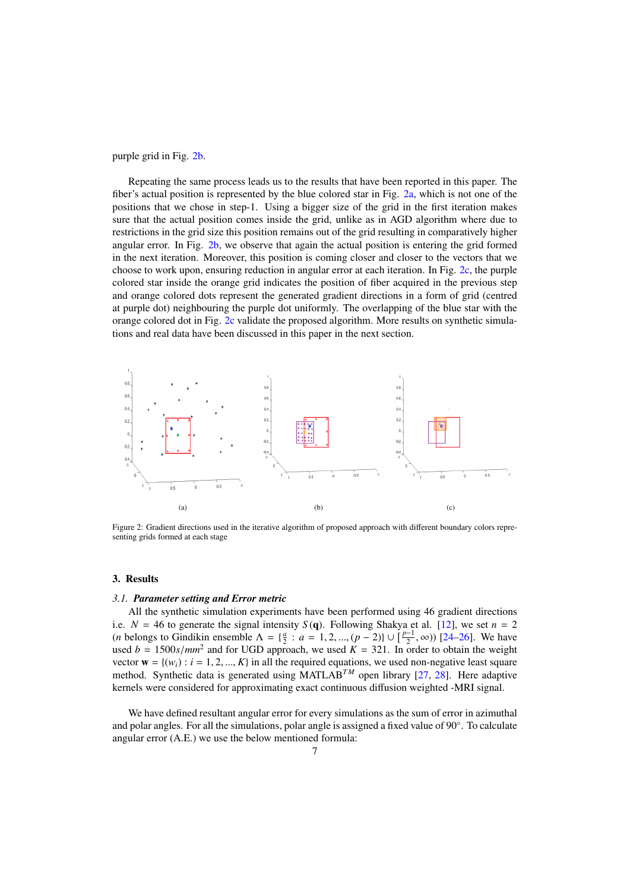purple grid in Fig. [2b.](#page-6-0)

Repeating the same process leads us to the results that have been reported in this paper. The fiber's actual position is represented by the blue colored star in Fig. [2a,](#page-6-0) which is not one of the positions that we chose in step-1. Using a bigger size of the grid in the first iteration makes sure that the actual position comes inside the grid, unlike as in AGD algorithm where due to restrictions in the grid size this position remains out of the grid resulting in comparatively higher angular error. In Fig. [2b,](#page-6-0) we observe that again the actual position is entering the grid formed in the next iteration. Moreover, this position is coming closer and closer to the vectors that we choose to work upon, ensuring reduction in angular error at each iteration. In Fig. [2c,](#page-6-0) the purple colored star inside the orange grid indicates the position of fiber acquired in the previous step and orange colored dots represent the generated gradient directions in a form of grid (centred at purple dot) neighbouring the purple dot uniformly. The overlapping of the blue star with the orange colored dot in Fig. [2c](#page-6-0) validate the proposed algorithm. More results on synthetic simulations and real data have been discussed in this paper in the next section.

<span id="page-6-0"></span>

Figure 2: Gradient directions used in the iterative algorithm of proposed approach with different boundary colors representing grids formed at each stage

#### 3. Results

## *3.1. Parameter setting and Error metric*

All the synthetic simulation experiments have been performed using 46 gradient directions i.e.  $N = 46$  to generate the signal intensity  $S(q)$ . Following Shakya et al. [\[12\]](#page-14-8), we set  $n = 2$ (*n* belongs to Gindikin ensemble  $\Lambda = \{\frac{a}{2} : a = 1, 2, ..., (p-2)\} \cup \left[\frac{p-1}{2}\right]$ <br>used  $b = 1500$  s/mm<sup>2</sup> and for UGD approach, we used  $K = 321$ . In our  $(\frac{2}{2}, \infty)$ ) [\[24–](#page-14-18)[26\]](#page-14-19). We have used  $b = 1500s/mm^2$  and for UGD approach, we used  $K = 321$ . In order to obtain the weight<br>vector  $\mathbf{w} = l(w) \cdot i = 1, 2, \dots, K$  in all the required equations, we used non-negative least square vector  $\mathbf{w} = \{(w_i) : i = 1, 2, ..., K\}$  in all the required equations, we used non-negative least square method. Synthetic data is generated using MATLAB<sup>TM</sup> open library [\[27,](#page-14-20) [28\]](#page-14-21). Here adaptive kernels were considered for approximating exact continuous diffusion weighted -MRI signal.

We have defined resultant angular error for every simulations as the sum of error in azimuthal and polar angles. For all the simulations, polar angle is assigned a fixed value of 90°. To calculate angular error (A.E.) we use the below mentioned formula: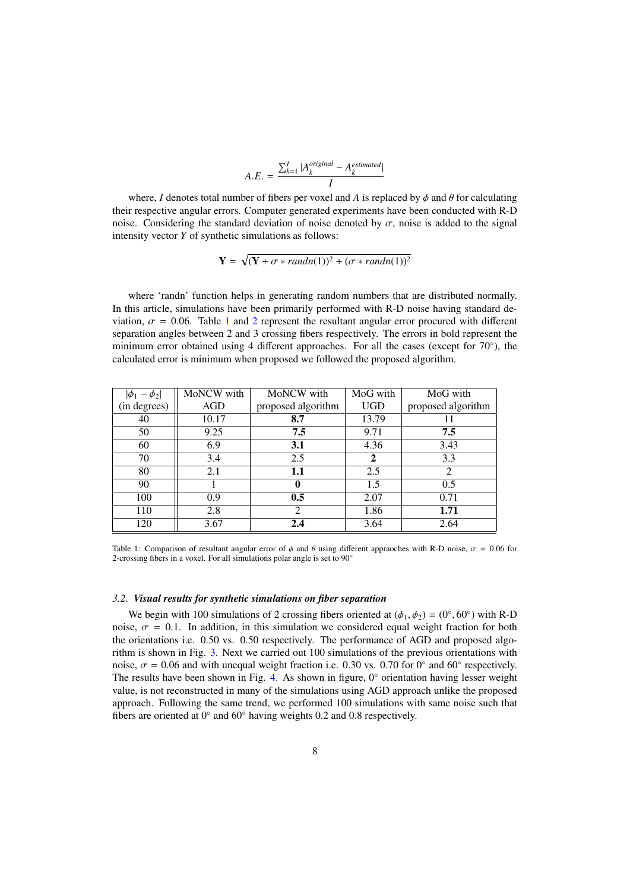$$
A.E. = \frac{\sum_{k=1}^{I} |A_k^{original} - A_k^{estimated}|}{I}
$$

where, *I* denotes total number of fibers per voxel and *A* is replaced by  $\phi$  and  $\theta$  for calculating their respective angular errors. Computer generated experiments have been conducted with R-D noise. Considering the standard deviation of noise denoted by  $\sigma$ , noise is added to the signal intensity vector *Y* of synthetic simulations as follows:

$$
\mathbf{Y} = \sqrt{(\mathbf{Y} + \sigma * randn(1))^2 + (\sigma * randn(1))^2}
$$

where 'randn' function helps in generating random numbers that are distributed normally. In this article, simulations have been primarily performed with R-D noise having standard deviation,  $\sigma = 0.06$ . Table [1](#page-7-0) and [2](#page-8-0) represent the resultant angular error procured with different separation angles between 2 and 3 crossing fibers respectively. The errors in bold represent the minimum error obtained using 4 different approaches. For all the cases (except for 70°), the calculated error is minimum when proposed we followed the proposed algorithm.

<span id="page-7-0"></span>

| $ \phi_1 - \phi_2 $ | MoNCW with | MoNCW with                  | MoG with     | MoG with                    |
|---------------------|------------|-----------------------------|--------------|-----------------------------|
| (in degrees)        | AGD        | proposed algorithm          | <b>UGD</b>   | proposed algorithm          |
| 40                  | 10.17      | 8.7                         | 13.79        | 11                          |
| 50                  | 9.25       | 7.5                         | 9.71         | 7.5                         |
| 60                  | 6.9        | 3.1                         | 4.36         | 3.43                        |
| 70                  | 3.4        | 2.5                         | $\mathbf{2}$ | 3.3                         |
| 80                  | 2.1        | 1.1                         | 2.5          | $\mathcal{D}_{\mathcal{L}}$ |
| 90                  |            | $\bf{0}$                    | 1.5          | 0.5                         |
| 100                 | 0.9        | 0.5                         | 2.07         | 0.71                        |
| 110                 | 2.8        | $\mathcal{D}_{\mathcal{L}}$ | 1.86         | 1.71                        |
| 120                 | 3.67       | 2.4                         | 3.64         | 2.64                        |

Table 1: Comparison of resultant angular error of  $\phi$  and  $\theta$  using different appraoches with R-D noise,  $\sigma = 0.06$  for 2-crossing fibers in a voxel. For all simulations polar angle is set to 90◦

# *3.2. Visual results for synthetic simulations on fiber separation*

We begin with 100 simulations of 2 crossing fibers oriented at  $(\phi_1, \phi_2) = (0^\circ, 60^\circ)$  with R-D<br>se  $\sigma = 0.1$ . In addition, in this simulation we considered equal weight fraction for both noise,  $\sigma = 0.1$ . In addition, in this simulation we considered equal weight fraction for both the orientations i.e. 0.50 vs. 0.50 respectively. The performance of AGD and proposed algorithm is shown in Fig. [3.](#page-8-1) Next we carried out 100 simulations of the previous orientations with noise,  $\sigma = 0.06$  and with unequal weight fraction i.e. 0.30 vs. 0.70 for 0<sup>°</sup> and 60<sup>°</sup> respectively.<br>The results have been shown in Fig. 4. As shown in figure, 0<sup>°</sup> orientation having lesser weight The results have been shown in Fig. [4.](#page-9-0) As shown in figure, 0◦ orientation having lesser weight value, is not reconstructed in many of the simulations using AGD approach unlike the proposed approach. Following the same trend, we performed 100 simulations with same noise such that fibers are oriented at  $0°$  and  $60°$  having weights 0.2 and 0.8 respectively.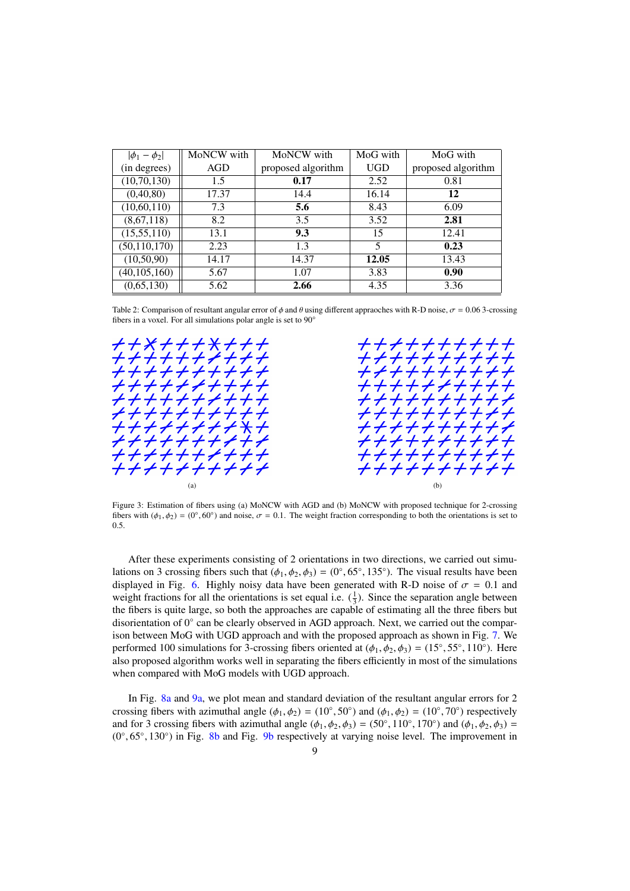<span id="page-8-0"></span>

| $ \phi_1 - \phi_2 $ | MoNCW with | MoNCW with         | MoG with   | MoG with           |
|---------------------|------------|--------------------|------------|--------------------|
| (in degrees)        | <b>AGD</b> | proposed algorithm | <b>UGD</b> | proposed algorithm |
| (10, 70, 130)       | 1.5        | 0.17               | 2.52       | 0.81               |
| (0, 40, 80)         | 17.37      | 14.4               | 16.14      | 12                 |
| (10,60,110)         | 7.3        | 5.6                | 8.43       | 6.09               |
| (8,67,118)          | 8.2        | 3.5                | 3.52       | 2.81               |
| (15,55,110)         | 13.1       | 9.3                | 15         | 12.41              |
| (50, 110, 170)      | 2.23       | 1.3                | 5          | 0.23               |
| (10, 50, 90)        | 14.17      | 14.37              | 12.05      | 13.43              |
| (40, 105, 160)      | 5.67       | 1.07               | 3.83       | 0.90               |
| (0,65,130)          | 5.62       | 2.66               | 4.35       | 3.36               |

Table 2: Comparison of resultant angular error of  $\phi$  and  $\theta$  using different appraoches with R-D noise,  $\sigma = 0.06$  3-crossing fibers in a voxel. For all simulations polar angle is set to 90°

<span id="page-8-1"></span>

Figure 3: Estimation of fibers using (a) MoNCW with AGD and (b) MoNCW with proposed technique for 2-crossing fibers with  $(\phi_1, \phi_2) = (0^\circ, 60^\circ)$  and noise,  $\sigma = 0.1$ . The weight fraction corresponding to both the orientations is set to 0.5.

After these experiments consisting of 2 orientations in two directions, we carried out simulations on 3 crossing fibers such that  $(\phi_1, \phi_2, \phi_3) = (0^\circ, 65^\circ, 135^\circ)$ . The visual results have been<br>displayed in Fig. 6. Highly poisy data have been generated with R-D poise of  $\sigma = 0.1$  and displayed in Fig. [6.](#page-10-0) Highly noisy data have been generated with R-D noise of  $\sigma = 0.1$  and weight fractions for all the orientations is set equal i.e.  $(\frac{1}{3})$ . Since the separation angle between the fibers is quite large, so both the approaches are capable of estimating all the three fibers but disorientation of 0° can be clearly observed in AGD approach. Next, we carried out the comparison between MoG with UGD approach and with the proposed approach as shown in Fig. [7.](#page-10-1) We performed 100 simulations for 3-crossing fibers oriented at  $(\phi_1, \phi_2, \phi_3) = (15^\circ, 55^\circ, 110^\circ)$ . Here also proposed algorithm works well in separating the fibers efficiently in most of the simulations also proposed algorithm works well in separating the fibers efficiently in most of the simulations when compared with MoG models with UGD approach.

In Fig. [8a](#page-11-0) and [9a,](#page-11-1) we plot mean and standard deviation of the resultant angular errors for 2 crossing fibers with azimuthal angle  $(\phi_1, \phi_2) = (10^\circ, 50^\circ)$  and  $(\phi_1, \phi_2) = (10^\circ, 70^\circ)$  respectively and for 3 crossing fibers with azimuthal angle  $(\phi_1, \phi_2, \phi_3) = (50^\circ, 110^\circ, 170^\circ)$  and  $(\phi_1, \phi_2, \phi_3) = (0^\circ, 65^\circ, 130^\circ)$  in Fig. 8b and Fig. 9b respectively at varying noise level. The improvement in  $(0°, 65°, 130°)$  in Fig. [8b](#page-11-0) and Fig. [9b](#page-11-1) respectively at varying noise level. The improvement in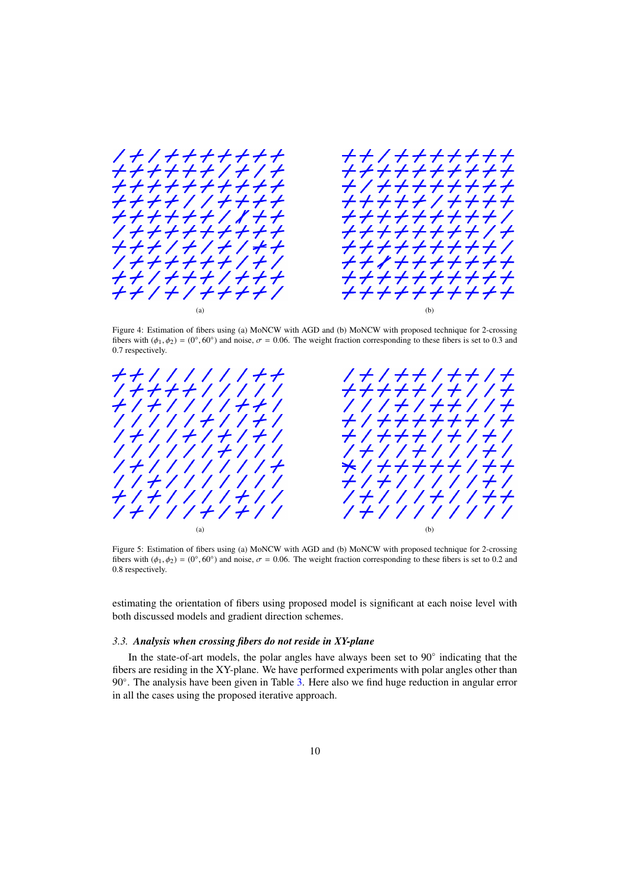<span id="page-9-0"></span>

Figure 4: Estimation of fibers using (a) MoNCW with AGD and (b) MoNCW with proposed technique for 2-crossing fibers with  $(\phi_1, \phi_2) = (0^\circ, 60^\circ)$  and noise,  $\sigma = 0.06$ . The weight fraction corresponding to these fibers is set to 0.3 and 0.7 respectively. 0.7 respectively.

<span id="page-9-1"></span>

Figure 5: Estimation of fibers using (a) MoNCW with AGD and (b) MoNCW with proposed technique for 2-crossing fibers with  $(\phi_1, \phi_2) = (0^\circ, 60^\circ)$  and noise,  $\sigma = 0.06$ . The weight fraction corresponding to these fibers is set to 0.2 and 0.8 respectively. 0.8 respectively.

estimating the orientation of fibers using proposed model is significant at each noise level with both discussed models and gradient direction schemes.

# *3.3. Analysis when crossing fibers do not reside in XY-plane*

In the state-of-art models, the polar angles have always been set to 90° indicating that the fibers are residing in the XY-plane. We have performed experiments with polar angles other than 90°. The analysis have been given in Table [3.](#page-11-2) Here also we find huge reduction in angular error in all the cases using the proposed iterative approach.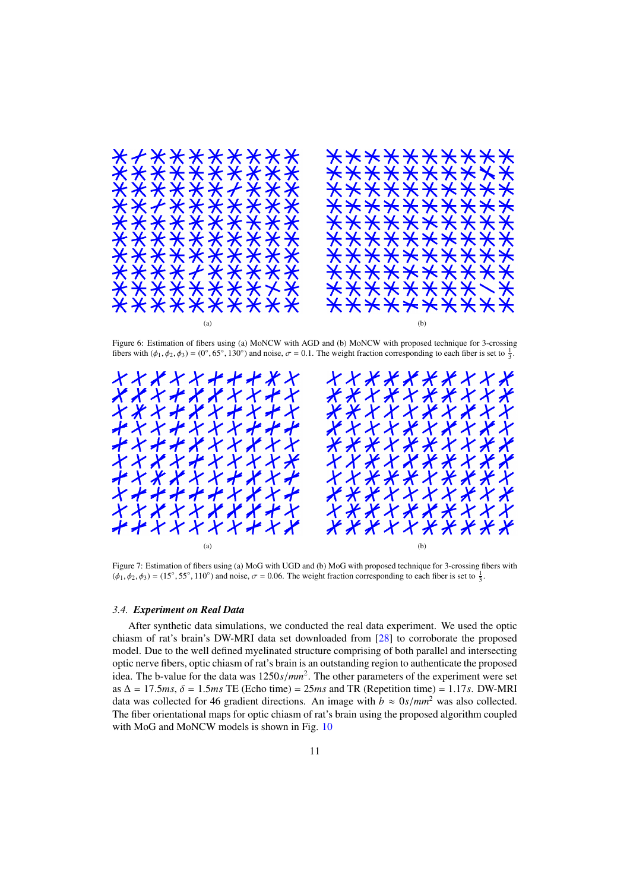<span id="page-10-0"></span>

Figure 6: Estimation of fibers using (a) MoNCW with AGD and (b) MoNCW with proposed technique for 3-crossing fibers with  $(\phi_1, \phi_2, \phi_3) = (0^\circ, 65^\circ, 130^\circ)$  and noise,  $\sigma = 0.1$ . The weight fraction corresponding to each fiber is set to  $\frac{1}{3}$ .

<span id="page-10-1"></span>

Figure 7: Estimation of fibers using (a) MoG with UGD and (b) MoG with proposed technique for 3-crossing fibers with  $(\phi_1, \phi_2, \phi_3) = (15^\circ, 55^\circ, 110^\circ)$  and noise,  $\sigma = 0.06$ . The weight fraction corresponding to each fiber is set to  $\frac{1}{3}$ .

## *3.4. Experiment on Real Data*

After synthetic data simulations, we conducted the real data experiment. We used the optic chiasm of rat's brain's DW-MRI data set downloaded from [\[28\]](#page-14-21) to corroborate the proposed model. Due to the well defined myelinated structure comprising of both parallel and intersecting optic nerve fibers, optic chiasm of rat's brain is an outstanding region to authenticate the proposed idea. The b-value for the data was  $1250s/mm^2$ . The other parameters of the experiment were set<br>as  $\Delta = 175ms$ ,  $\delta = 1.5ms$  TE (Echo time) = 25ms and TR (Repetition time) = 1.17s, DW-MRI as  $\Delta = 17.5$ *ms*,  $\delta = 1.5$ *ms* TE (Echo time) = 25*ms* and TR (Repetition time) = 1.17*s*. DW-MRI data was collected for 46 gradient directions. An image with  $b \approx 0 \text{ s/mm}^2$  was also collected. The fiber orientational maps for optic chiasm of rat's brain using the proposed algorithm coupled with MoG and MoNCW models is shown in Fig. [10](#page-12-0)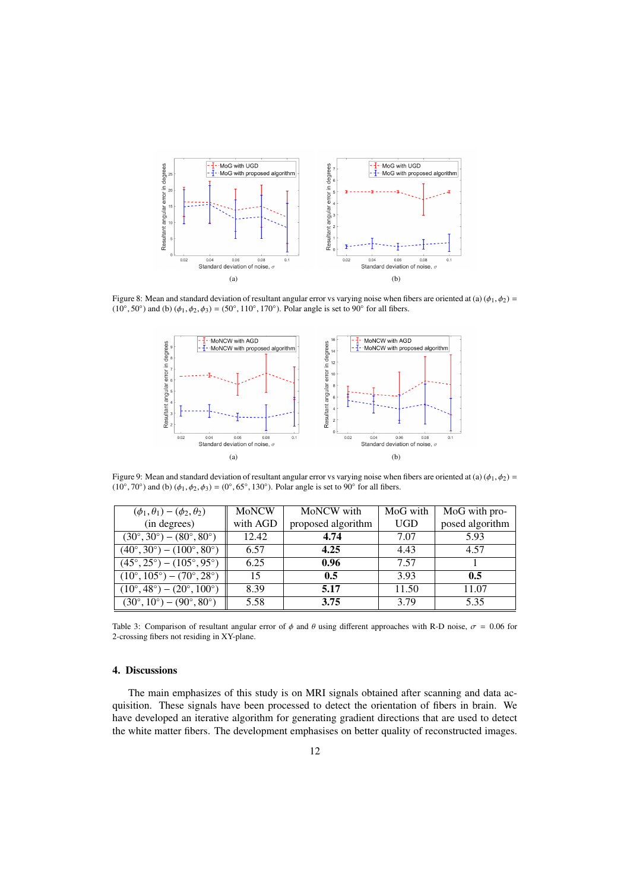<span id="page-11-0"></span>

<span id="page-11-1"></span>Figure 8: Mean and standard deviation of resultant angular error vs varying noise when fibers are oriented at (a) ( $\phi_1, \phi_2$ ) =  $(10°, 50°)$  and (b)  $(\phi_1, \phi_2, \phi_3) = (50°, 110°, 170°)$ . Polar angle is set to 90° for all fibers.



Figure 9: Mean and standard deviation of resultant angular error vs varying noise when fibers are oriented at (a)  $(\phi_1, \phi_2)$  =  $(10°, 70°)$  and (b)  $(\phi_1, \phi_2, \phi_3) = (0°, 65°, 130°)$ . Polar angle is set to 90° for all fibers.

<span id="page-11-2"></span>

| $(\phi_1, \theta_1) - (\phi_2, \theta_2)$              | <b>MoNCW</b> | MoNCW with         | MoG with   | MoG with pro-   |
|--------------------------------------------------------|--------------|--------------------|------------|-----------------|
| (in degrees)                                           | with AGD     | proposed algorithm | <b>UGD</b> | posed algorithm |
| $(30^{\circ}, 30^{\circ}) - (80^{\circ}, 80^{\circ})$  | 12.42        | 4.74               | 7.07       | 5.93            |
| $(40^{\circ}, 30^{\circ}) - (100^{\circ}, 80^{\circ})$ | 6.57         | 4.25               | 4.43       | 4.57            |
| $(45^{\circ}, 25^{\circ}) - (105^{\circ}, 95^{\circ})$ | 6.25         | 0.96               | 7.57       |                 |
| $(10^{\circ}, 105^{\circ}) - (70^{\circ}, 28^{\circ})$ | 15           | 0.5                | 3.93       | 0.5             |
| $(10^{\circ}, 48^{\circ}) - (20^{\circ}, 100^{\circ})$ | 8.39         | 5.17               | 11.50      | 11.07           |
| $(30^{\circ}, 10^{\circ}) - (90^{\circ}, 80^{\circ})$  | 5.58         | 3.75               | 3.79       | 5.35            |
|                                                        |              |                    |            |                 |

Table 3: Comparison of resultant angular error of  $\phi$  and  $\theta$  using different approaches with R-D noise,  $\sigma = 0.06$  for 2-crossing fibers not residing in XY-plane.

# 4. Discussions

The main emphasizes of this study is on MRI signals obtained after scanning and data acquisition. These signals have been processed to detect the orientation of fibers in brain. We have developed an iterative algorithm for generating gradient directions that are used to detect the white matter fibers. The development emphasises on better quality of reconstructed images.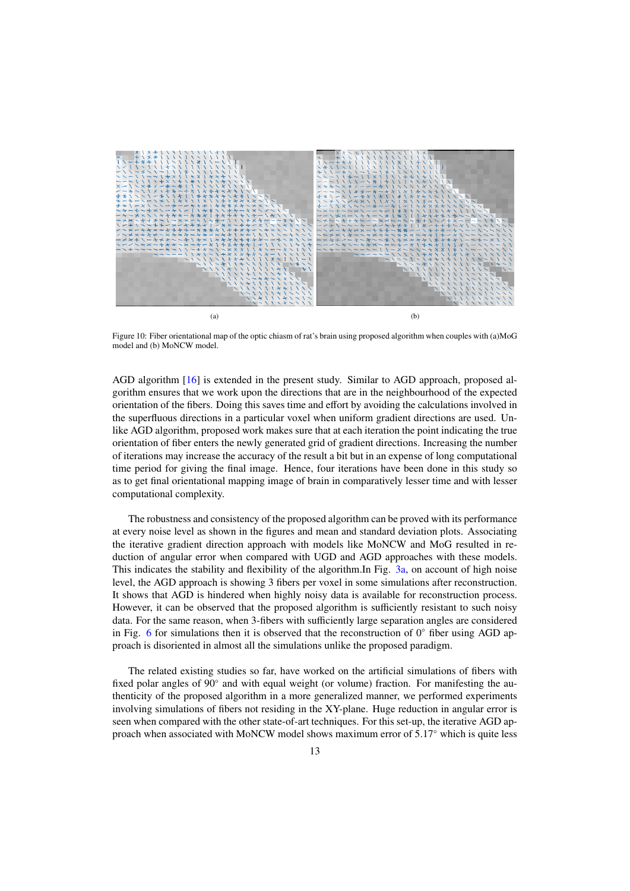<span id="page-12-0"></span>

Figure 10: Fiber orientational map of the optic chiasm of rat's brain using proposed algorithm when couples with (a)MoG model and (b) MoNCW model.

AGD algorithm [\[16\]](#page-14-12) is extended in the present study. Similar to AGD approach, proposed algorithm ensures that we work upon the directions that are in the neighbourhood of the expected orientation of the fibers. Doing this saves time and effort by avoiding the calculations involved in the superfluous directions in a particular voxel when uniform gradient directions are used. Unlike AGD algorithm, proposed work makes sure that at each iteration the point indicating the true orientation of fiber enters the newly generated grid of gradient directions. Increasing the number of iterations may increase the accuracy of the result a bit but in an expense of long computational time period for giving the final image. Hence, four iterations have been done in this study so as to get final orientational mapping image of brain in comparatively lesser time and with lesser computational complexity.

The robustness and consistency of the proposed algorithm can be proved with its performance at every noise level as shown in the figures and mean and standard deviation plots. Associating the iterative gradient direction approach with models like MoNCW and MoG resulted in reduction of angular error when compared with UGD and AGD approaches with these models. This indicates the stability and flexibility of the algorithm.In Fig. [3a,](#page-8-1) on account of high noise level, the AGD approach is showing 3 fibers per voxel in some simulations after reconstruction. It shows that AGD is hindered when highly noisy data is available for reconstruction process. However, it can be observed that the proposed algorithm is sufficiently resistant to such noisy data. For the same reason, when 3-fibers with sufficiently large separation angles are considered in Fig. [6](#page-10-0) for simulations then it is observed that the reconstruction of  $0^\circ$  fiber using AGD approach is disoriented in almost all the simulations unlike the proposed paradigm.

The related existing studies so far, have worked on the artificial simulations of fibers with fixed polar angles of 90° and with equal weight (or volume) fraction. For manifesting the authenticity of the proposed algorithm in a more generalized manner, we performed experiments involving simulations of fibers not residing in the XY-plane. Huge reduction in angular error is seen when compared with the other state-of-art techniques. For this set-up, the iterative AGD approach when associated with MoNCW model shows maximum error of 5.17◦ which is quite less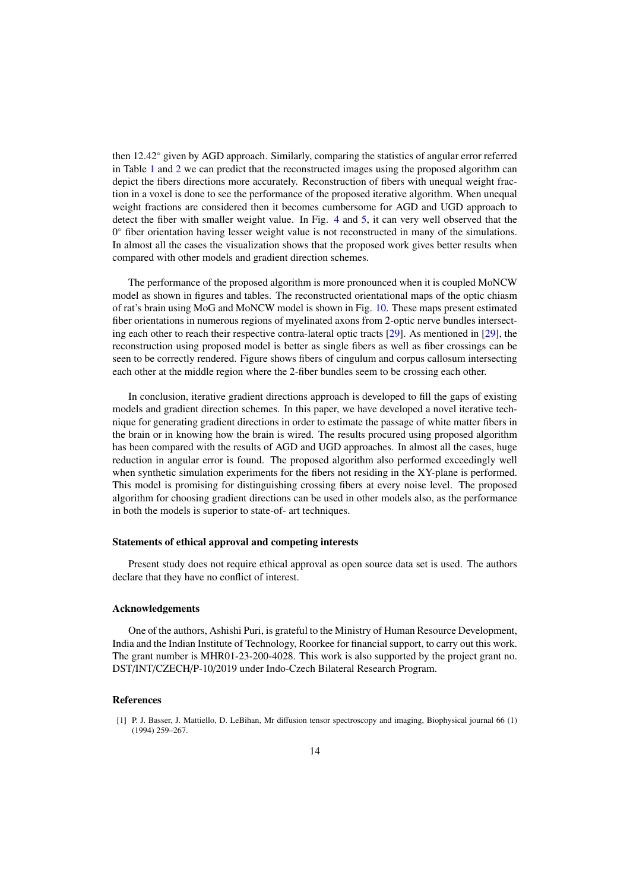then 12.42◦ given by AGD approach. Similarly, comparing the statistics of angular error referred in Table [1](#page-7-0) and [2](#page-8-0) we can predict that the reconstructed images using the proposed algorithm can depict the fibers directions more accurately. Reconstruction of fibers with unequal weight fraction in a voxel is done to see the performance of the proposed iterative algorithm. When unequal weight fractions are considered then it becomes cumbersome for AGD and UGD approach to detect the fiber with smaller weight value. In Fig. [4](#page-9-0) and [5,](#page-9-1) it can very well observed that the 0 ◦ fiber orientation having lesser weight value is not reconstructed in many of the simulations. In almost all the cases the visualization shows that the proposed work gives better results when compared with other models and gradient direction schemes.

The performance of the proposed algorithm is more pronounced when it is coupled MoNCW model as shown in figures and tables. The reconstructed orientational maps of the optic chiasm of rat's brain using MoG and MoNCW model is shown in Fig. [10.](#page-12-0) These maps present estimated fiber orientations in numerous regions of myelinated axons from 2-optic nerve bundles intersecting each other to reach their respective contra-lateral optic tracts [\[29\]](#page-15-0). As mentioned in [\[29\]](#page-15-0), the reconstruction using proposed model is better as single fibers as well as fiber crossings can be seen to be correctly rendered. Figure shows fibers of cingulum and corpus callosum intersecting each other at the middle region where the 2-fiber bundles seem to be crossing each other.

In conclusion, iterative gradient directions approach is developed to fill the gaps of existing models and gradient direction schemes. In this paper, we have developed a novel iterative technique for generating gradient directions in order to estimate the passage of white matter fibers in the brain or in knowing how the brain is wired. The results procured using proposed algorithm has been compared with the results of AGD and UGD approaches. In almost all the cases, huge reduction in angular error is found. The proposed algorithm also performed exceedingly well when synthetic simulation experiments for the fibers not residing in the XY-plane is performed. This model is promising for distinguishing crossing fibers at every noise level. The proposed algorithm for choosing gradient directions can be used in other models also, as the performance in both the models is superior to state-of- art techniques.

## Statements of ethical approval and competing interests

Present study does not require ethical approval as open source data set is used. The authors declare that they have no conflict of interest.

## Acknowledgements

One of the authors, Ashishi Puri, is grateful to the Ministry of Human Resource Development, India and the Indian Institute of Technology, Roorkee for financial support, to carry out this work. The grant number is MHR01-23-200-4028. This work is also supported by the project grant no. DST/INT/CZECH/P-10/2019 under Indo-Czech Bilateral Research Program.

# References

<span id="page-13-0"></span>[1] P. J. Basser, J. Mattiello, D. LeBihan, Mr diffusion tensor spectroscopy and imaging, Biophysical journal 66 (1) (1994) 259–267.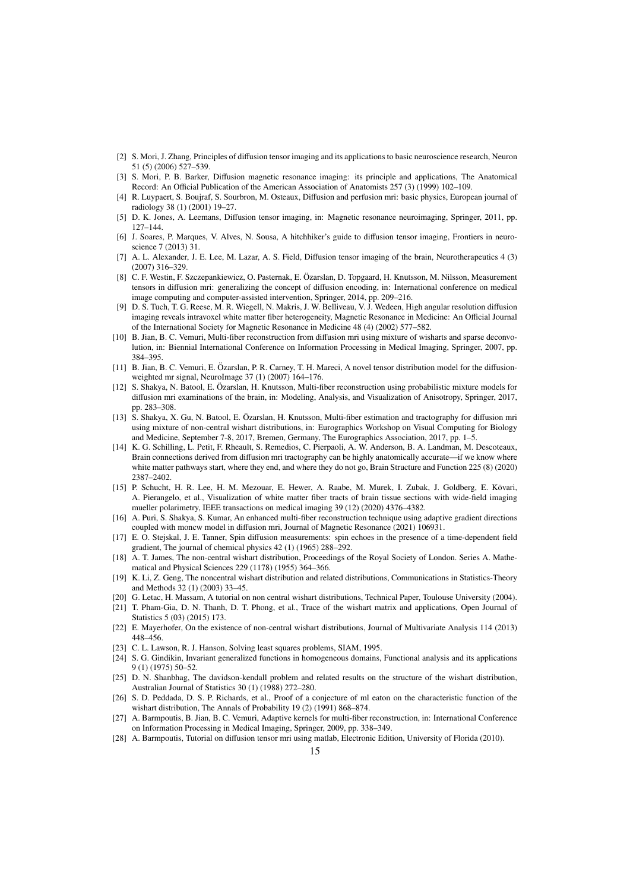- <span id="page-14-0"></span>[2] S. Mori, J. Zhang, Principles of diffusion tensor imaging and its applications to basic neuroscience research, Neuron 51 (5) (2006) 527–539.
- [3] S. Mori, P. B. Barker, Diffusion magnetic resonance imaging: its principle and applications, The Anatomical Record: An Official Publication of the American Association of Anatomists 257 (3) (1999) 102–109.
- [4] R. Luypaert, S. Boujraf, S. Sourbron, M. Osteaux, Diffusion and perfusion mri: basic physics, European journal of radiology 38 (1) (2001) 19–27.
- <span id="page-14-1"></span>[5] D. K. Jones, A. Leemans, Diffusion tensor imaging, in: Magnetic resonance neuroimaging, Springer, 2011, pp. 127–144.
- <span id="page-14-2"></span>[6] J. Soares, P. Marques, V. Alves, N. Sousa, A hitchhiker's guide to diffusion tensor imaging, Frontiers in neuroscience 7 (2013) 31.
- <span id="page-14-3"></span>[7] A. L. Alexander, J. E. Lee, M. Lazar, A. S. Field, Diffusion tensor imaging of the brain, Neurotherapeutics 4 (3) (2007) 316–329.
- <span id="page-14-4"></span>[8] C. F. Westin, F. Szczepankiewicz, O. Pasternak, E. Ozarslan, D. Topgaard, H. Knutsson, M. Nilsson, Measurement ¨ tensors in diffusion mri: generalizing the concept of diffusion encoding, in: International conference on medical image computing and computer-assisted intervention, Springer, 2014, pp. 209–216.
- <span id="page-14-5"></span>[9] D. S. Tuch, T. G. Reese, M. R. Wiegell, N. Makris, J. W. Belliveau, V. J. Wedeen, High angular resolution diffusion imaging reveals intravoxel white matter fiber heterogeneity, Magnetic Resonance in Medicine: An Official Journal of the International Society for Magnetic Resonance in Medicine 48 (4) (2002) 577–582.
- <span id="page-14-6"></span>[10] B. Jian, B. C. Vemuri, Multi-fiber reconstruction from diffusion mri using mixture of wisharts and sparse deconvolution, in: Biennial International Conference on Information Processing in Medical Imaging, Springer, 2007, pp. 384–395.
- <span id="page-14-7"></span>[11] B. Jian, B. C. Vemuri, E. Özarslan, P. R. Carney, T. H. Mareci, A novel tensor distribution model for the diffusionweighted mr signal, NeuroImage 37 (1) (2007) 164–176.
- <span id="page-14-8"></span>[12] S. Shakya, N. Batool, E. Ozarslan, H. Knutsson, Multi-fiber reconstruction using probabilistic mixture models for ¨ diffusion mri examinations of the brain, in: Modeling, Analysis, and Visualization of Anisotropy, Springer, 2017, pp. 283–308.
- <span id="page-14-9"></span>[13] S. Shakya, X. Gu, N. Batool, E. Özarslan, H. Knutsson, Multi-fiber estimation and tractography for diffusion mri using mixture of non-central wishart distributions, in: Eurographics Workshop on Visual Computing for Biology and Medicine, September 7-8, 2017, Bremen, Germany, The Eurographics Association, 2017, pp. 1–5.
- <span id="page-14-10"></span>[14] K. G. Schilling, L. Petit, F. Rheault, S. Remedios, C. Pierpaoli, A. W. Anderson, B. A. Landman, M. Descoteaux, Brain connections derived from diffusion mri tractography can be highly anatomically accurate—if we know where white matter pathways start, where they end, and where they do not go, Brain Structure and Function 225 (8) (2020) 2387–2402.
- <span id="page-14-11"></span>[15] P. Schucht, H. R. Lee, H. M. Mezouar, E. Hewer, A. Raabe, M. Murek, I. Zubak, J. Goldberg, E. Kovari, ¨ A. Pierangelo, et al., Visualization of white matter fiber tracts of brain tissue sections with wide-field imaging mueller polarimetry, IEEE transactions on medical imaging 39 (12) (2020) 4376–4382.
- <span id="page-14-12"></span>[16] A. Puri, S. Shakya, S. Kumar, An enhanced multi-fiber reconstruction technique using adaptive gradient directions coupled with moncw model in diffusion mri, Journal of Magnetic Resonance (2021) 106931.
- <span id="page-14-13"></span>[17] E. O. Stejskal, J. E. Tanner, Spin diffusion measurements: spin echoes in the presence of a time-dependent field gradient, The journal of chemical physics 42 (1) (1965) 288–292.
- <span id="page-14-14"></span>[18] A. T. James, The non-central wishart distribution, Proceedings of the Royal Society of London. Series A. Mathematical and Physical Sciences 229 (1178) (1955) 364–366.
- [19] K. Li, Z. Geng, The noncentral wishart distribution and related distributions, Communications in Statistics-Theory and Methods 32 (1) (2003) 33–45.
- [20] G. Letac, H. Massam, A tutorial on non central wishart distributions, Technical Paper, Toulouse University (2004).
- <span id="page-14-15"></span>[21] T. Pham-Gia, D. N. Thanh, D. T. Phong, et al., Trace of the wishart matrix and applications, Open Journal of Statistics 5 (03) (2015) 173.
- <span id="page-14-16"></span>[22] E. Mayerhofer, On the existence of non-central wishart distributions, Journal of Multivariate Analysis 114 (2013) 448–456.
- <span id="page-14-17"></span>[23] C. L. Lawson, R. J. Hanson, Solving least squares problems, SIAM, 1995.
- <span id="page-14-18"></span>[24] S. G. Gindikin, Invariant generalized functions in homogeneous domains, Functional analysis and its applications 9 (1) (1975) 50–52.
- [25] D. N. Shanbhag, The davidson-kendall problem and related results on the structure of the wishart distribution, Australian Journal of Statistics 30 (1) (1988) 272–280.
- <span id="page-14-19"></span>[26] S. D. Peddada, D. S. P. Richards, et al., Proof of a conjecture of ml eaton on the characteristic function of the wishart distribution, The Annals of Probability 19 (2) (1991) 868–874.
- <span id="page-14-20"></span>[27] A. Barmpoutis, B. Jian, B. C. Vemuri, Adaptive kernels for multi-fiber reconstruction, in: International Conference on Information Processing in Medical Imaging, Springer, 2009, pp. 338–349.
- <span id="page-14-21"></span>[28] A. Barmpoutis, Tutorial on diffusion tensor mri using matlab, Electronic Edition, University of Florida (2010).